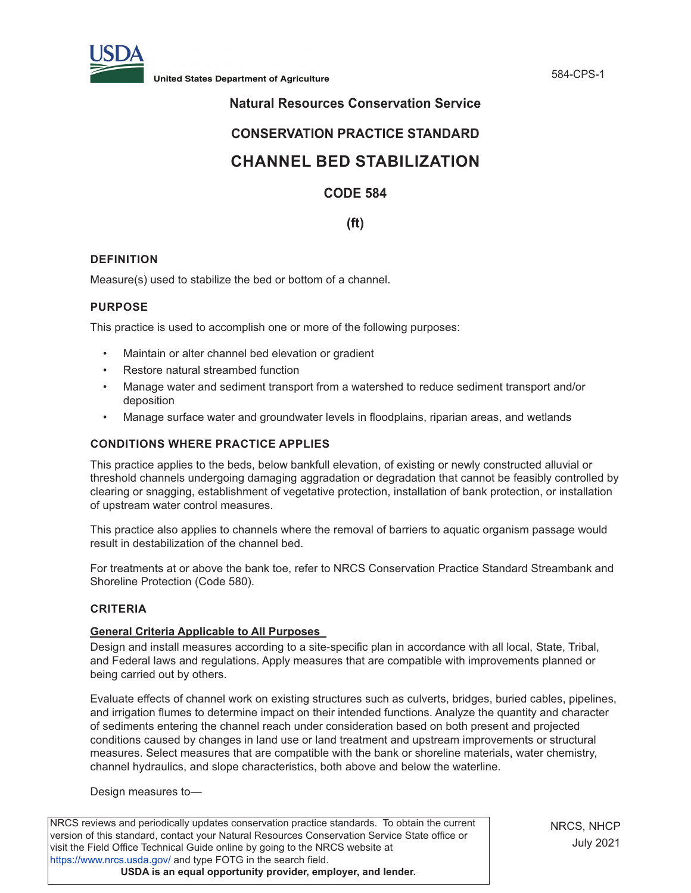

**United States Department of Agriculture** 584-CPS-1

# **Natural Resources Conservation Service**

# **CONSERVATION PRACTICE STANDARD**

# **CHANNEL BED STABILIZATION**

## **CODE 584**

## **(ft)**

## **DEFINITION**

Measure(s) used to stabilize the bed or bottom of a channel.

#### **PURPOSE**

This practice is used to accomplish one or more of the following purposes:

- Maintain or alter channel bed elevation or gradient
- Restore natural streambed function
- Manage water and sediment transport from a watershed to reduce sediment transport and/or deposition
- Manage surface water and groundwater levels in floodplains, riparian areas, and wetlands

#### **CONDITIONS WHERE PRACTICE APPLIES**

This practice applies to the beds, below bankfull elevation, of existing or newly constructed alluvial or threshold channels undergoing damaging aggradation or degradation that cannot be feasibly controlled by clearing or snagging, establishment of vegetative protection, installation of bank protection, or installation of upstream water control measures.

This practice also applies to channels where the removal of barriers to aquatic organism passage would result in destabilization of the channel bed.

For treatments at or above the bank toe, refer to NRCS Conservation Practice Standard Streambank and Shoreline Protection (Code 580).

#### **CRITERIA**

#### **General Criteria Applicable to All Purposes**

Design and install measures according to a site-specific plan in accordance with all local, State, Tribal, and Federal laws and regulations. Apply measures that are compatible with improvements planned or being carried out by others.

Evaluate effects of channel work on existing structures such as culverts, bridges, buried cables, pipelines, and irrigation flumes to determine impact on their intended functions. Analyze the quantity and character of sediments entering the channel reach under consideration based on both present and projected conditions caused by changes in land use or land treatment and upstream improvements or structural measures. Select measures that are compatible with the bank or shoreline materials, water chemistry, channel hydraulics, and slope characteristics, both above and below the waterline.

Design measures to—

NRCS reviews and periodically updates conservation practice standards. To obtain the current version of this standard, contact your Natural Resources Conservation Service State office or visit the Field Office Technical Guide online by going to the NRCS website at <https://www.nrcs.usda.gov/>and type FOTG in the search field. **USDA is an equal opportunity provider, employer, and lender.**

NRCS, NHCP July 2021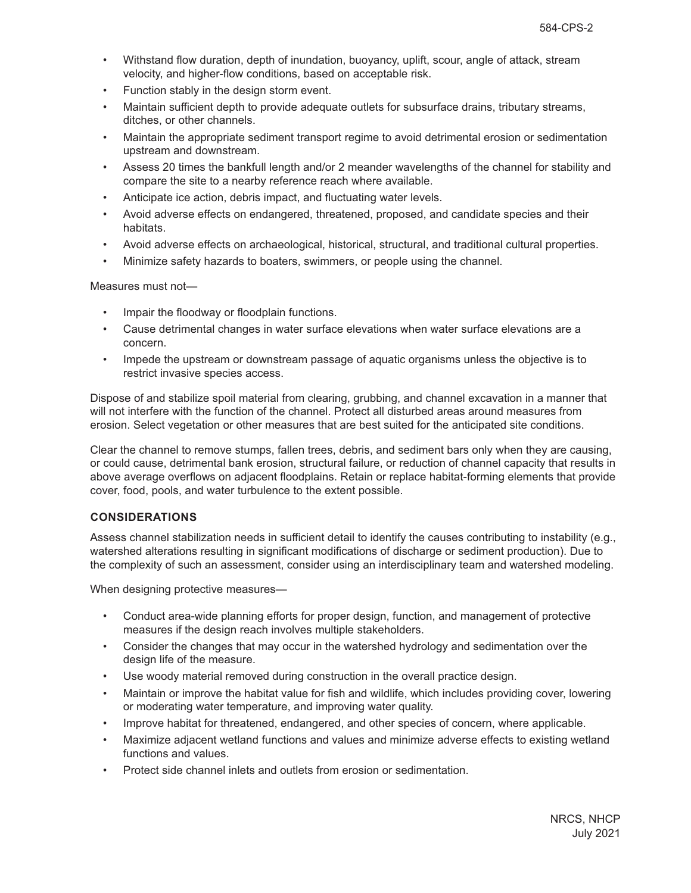- Withstand flow duration, depth of inundation, buoyancy, uplift, scour, angle of attack, stream velocity, and higher-flow conditions, based on acceptable risk.
- Function stably in the design storm event.
- Maintain sufficient depth to provide adequate outlets for subsurface drains, tributary streams, ditches, or other channels.
- Maintain the appropriate sediment transport regime to avoid detrimental erosion or sedimentation upstream and downstream.
- Assess 20 times the bankfull length and/or 2 meander wavelengths of the channel for stability and compare the site to a nearby reference reach where available.
- Anticipate ice action, debris impact, and fluctuating water levels.
- Avoid adverse effects on endangered, threatened, proposed, and candidate species and their habitats.
- Avoid adverse effects on archaeological, historical, structural, and traditional cultural properties.
- Minimize safety hazards to boaters, swimmers, or people using the channel.

Measures must not—

- Impair the floodway or floodplain functions.
- Cause detrimental changes in water surface elevations when water surface elevations are a concern.
- Impede the upstream or downstream passage of aquatic organisms unless the objective is to restrict invasive species access.

Dispose of and stabilize spoil material from clearing, grubbing, and channel excavation in a manner that will not interfere with the function of the channel. Protect all disturbed areas around measures from erosion. Select vegetation or other measures that are best suited for the anticipated site conditions.

Clear the channel to remove stumps, fallen trees, debris, and sediment bars only when they are causing, or could cause, detrimental bank erosion, structural failure, or reduction of channel capacity that results in above average overflows on adjacent floodplains. Retain or replace habitat-forming elements that provide cover, food, pools, and water turbulence to the extent possible.

## **CONSIDERATIONS**

Assess channel stabilization needs in sufficient detail to identify the causes contributing to instability (e.g., watershed alterations resulting in significant modifications of discharge or sediment production). Due to the complexity of such an assessment, consider using an interdisciplinary team and watershed modeling.

When designing protective measures—

- Conduct area-wide planning efforts for proper design, function, and management of protective measures if the design reach involves multiple stakeholders.
- Consider the changes that may occur in the watershed hydrology and sedimentation over the design life of the measure.
- Use woody material removed during construction in the overall practice design.
- Maintain or improve the habitat value for fish and wildlife, which includes providing cover, lowering or moderating water temperature, and improving water quality.
- Improve habitat for threatened, endangered, and other species of concern, where applicable.
- Maximize adjacent wetland functions and values and minimize adverse effects to existing wetland functions and values.
- Protect side channel inlets and outlets from erosion or sedimentation.